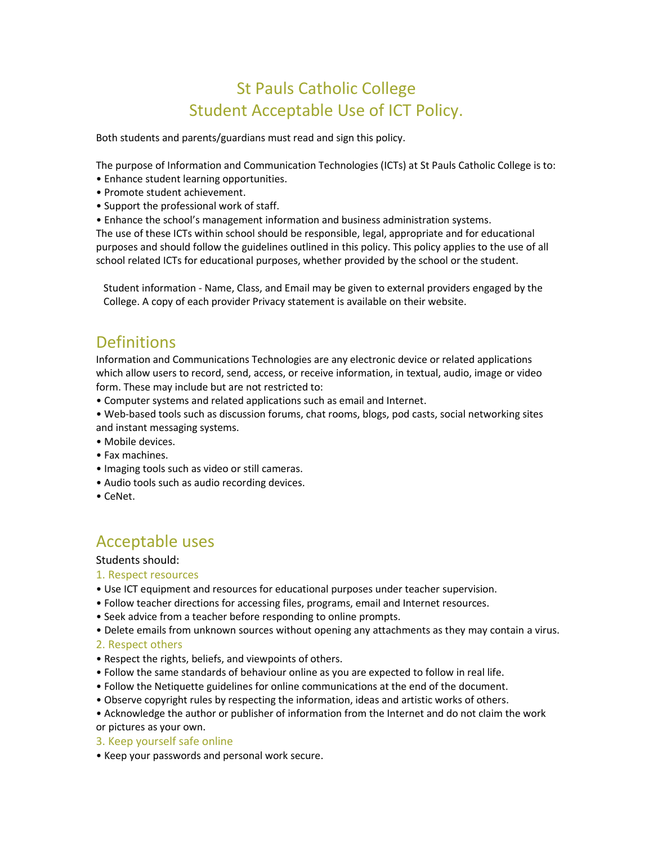# St Pauls Catholic College Student Acceptable Use of ICT Policy.

Both students and parents/guardians must read and sign this policy.

The purpose of Information and Communication Technologies (ICTs) at St Pauls Catholic College is to:

- Enhance student learning opportunities.
- Promote student achievement.
- Support the professional work of staff.
- Enhance the school's management information and business administration systems.

The use of these ICTs within school should be responsible, legal, appropriate and for educational purposes and should follow the guidelines outlined in this policy. This policy applies to the use of all school related ICTs for educational purposes, whether provided by the school or the student.

Student information - Name, Class, and Email may be given to external providers engaged by the College. A copy of each provider Privacy statement is available on their website.

## **Definitions**

Information and Communications Technologies are any electronic device or related applications which allow users to record, send, access, or receive information, in textual, audio, image or video form. These may include but are not restricted to:

• Computer systems and related applications such as email and Internet.

- Web-based tools such as discussion forums, chat rooms, blogs, pod casts, social networking sites and instant messaging systems.
- Mobile devices.
- Fax machines.
- Imaging tools such as video or still cameras.
- Audio tools such as audio recording devices.
- CeNet.

## Acceptable uses

#### Students should:

#### 1. Respect resources

- Use ICT equipment and resources for educational purposes under teacher supervision.
- Follow teacher directions for accessing files, programs, email and Internet resources.
- Seek advice from a teacher before responding to online prompts.
- Delete emails from unknown sources without opening any attachments as they may contain a virus.

#### 2. Respect others

- Respect the rights, beliefs, and viewpoints of others.
- Follow the same standards of behaviour online as you are expected to follow in real life.
- Follow the Netiquette guidelines for online communications at the end of the document.
- Observe copyright rules by respecting the information, ideas and artistic works of others.

• Acknowledge the author or publisher of information from the Internet and do not claim the work or pictures as your own.

- 3. Keep yourself safe online
- Keep your passwords and personal work secure.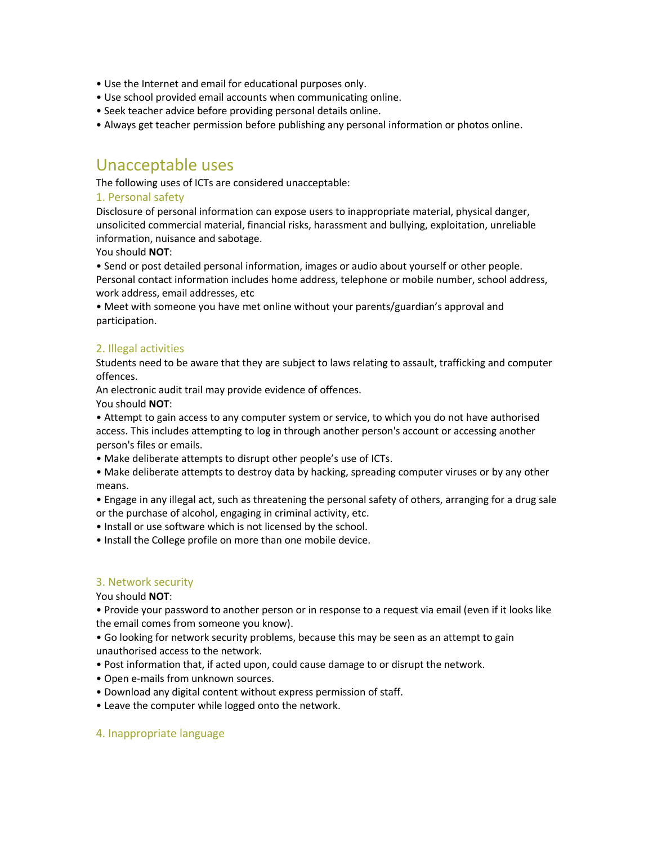- Use the Internet and email for educational purposes only.
- Use school provided email accounts when communicating online.
- Seek teacher advice before providing personal details online.
- Always get teacher permission before publishing any personal information or photos online.

### Unacceptable uses

The following uses of ICTs are considered unacceptable:

#### 1. Personal safety

Disclosure of personal information can expose users to inappropriate material, physical danger, unsolicited commercial material, financial risks, harassment and bullying, exploitation, unreliable information, nuisance and sabotage.

You should **NOT**:

• Send or post detailed personal information, images or audio about yourself or other people. Personal contact information includes home address, telephone or mobile number, school address, work address, email addresses, etc

• Meet with someone you have met online without your parents/guardian's approval and participation.

#### 2. Illegal activities

Students need to be aware that they are subject to laws relating to assault, trafficking and computer offences.

An electronic audit trail may provide evidence of offences. You should **NOT**:

• Attempt to gain access to any computer system or service, to which you do not have authorised access. This includes attempting to log in through another person's account or accessing another person's files or emails.

• Make deliberate attempts to disrupt other people's use of ICTs.

• Make deliberate attempts to destroy data by hacking, spreading computer viruses or by any other means.

• Engage in any illegal act, such as threatening the personal safety of others, arranging for a drug sale or the purchase of alcohol, engaging in criminal activity, etc.

• Install or use software which is not licensed by the school.

• Install the College profile on more than one mobile device.

#### 3. Network security

You should **NOT**:

• Provide your password to another person or in response to a request via email (even if it looks like the email comes from someone you know).

• Go looking for network security problems, because this may be seen as an attempt to gain unauthorised access to the network.

• Post information that, if acted upon, could cause damage to or disrupt the network.

- Open e-mails from unknown sources.
- Download any digital content without express permission of staff.
- Leave the computer while logged onto the network.

#### 4. Inappropriate language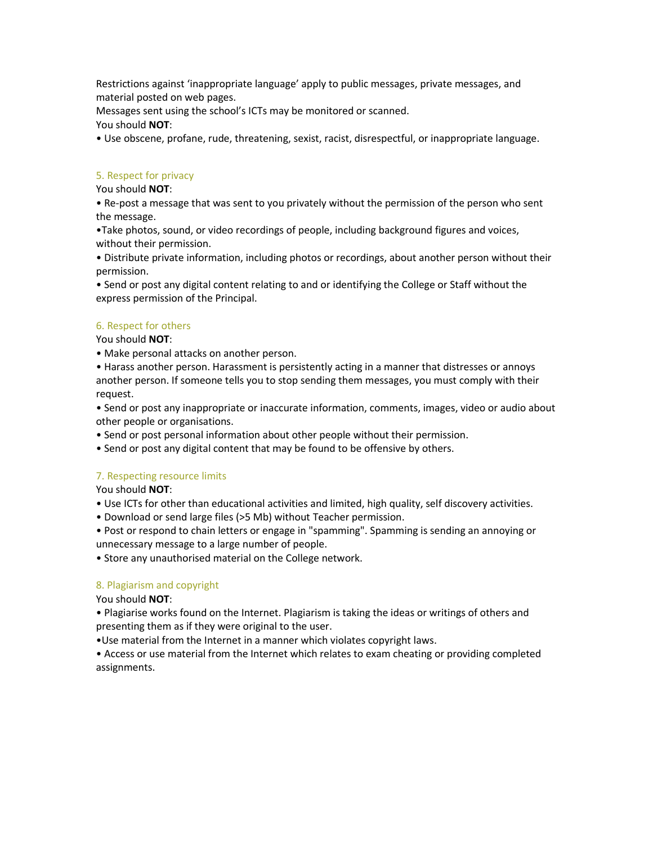Restrictions against 'inappropriate language' apply to public messages, private messages, and material posted on web pages.

Messages sent using the school's ICTs may be monitored or scanned.

You should **NOT**:

• Use obscene, profane, rude, threatening, sexist, racist, disrespectful, or inappropriate language.

#### 5. Respect for privacy

#### You should **NOT**:

• Re-post a message that was sent to you privately without the permission of the person who sent the message.

•Take photos, sound, or video recordings of people, including background figures and voices, without their permission.

• Distribute private information, including photos or recordings, about another person without their permission.

• Send or post any digital content relating to and or identifying the College or Staff without the express permission of the Principal.

#### 6. Respect for others

You should **NOT**:

• Make personal attacks on another person.

• Harass another person. Harassment is persistently acting in a manner that distresses or annoys another person. If someone tells you to stop sending them messages, you must comply with their request.

• Send or post any inappropriate or inaccurate information, comments, images, video or audio about other people or organisations.

• Send or post personal information about other people without their permission.

• Send or post any digital content that may be found to be offensive by others.

#### 7. Respecting resource limits

You should **NOT**:

• Use ICTs for other than educational activities and limited, high quality, self discovery activities.

• Download or send large files (>5 Mb) without Teacher permission.

• Post or respond to chain letters or engage in "spamming". Spamming is sending an annoying or unnecessary message to a large number of people.

• Store any unauthorised material on the College network.

#### 8. Plagiarism and copyright

You should **NOT**:

• Plagiarise works found on the Internet. Plagiarism is taking the ideas or writings of others and presenting them as if they were original to the user.

•Use material from the Internet in a manner which violates copyright laws.

• Access or use material from the Internet which relates to exam cheating or providing completed assignments.